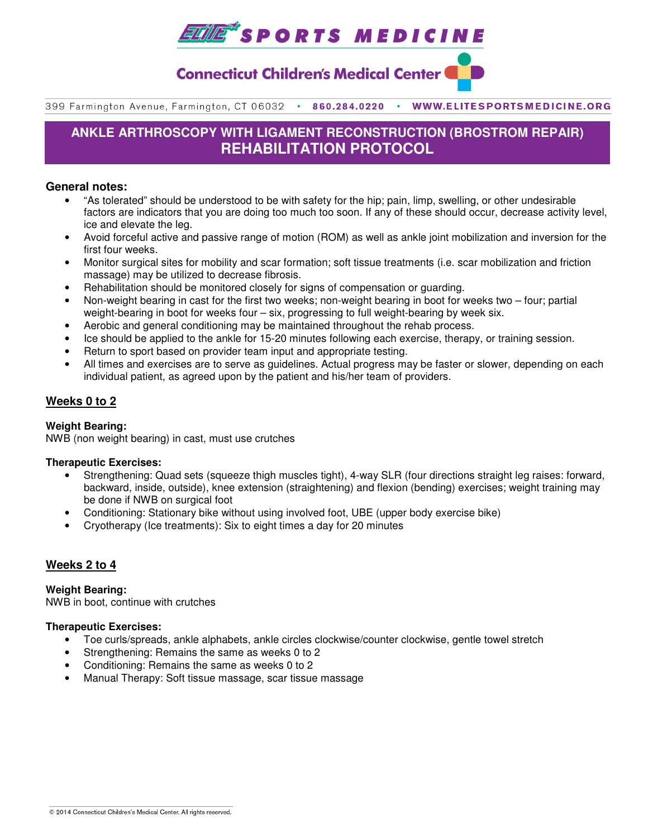

# **Connecticut Children's Medical Center (**

399 Farmington Avenue, Farmington, CT 06032 . 860.284.0220 . WWW.ELITESPORTSMEDICINE.ORG

# **ANKLE ARTHROSCOPY WITH LIGAMENT RECONSTRUCTION (BROSTROM REPAIR) REHABILITATION PROTOCOL**

## **General notes:**

- "As tolerated" should be understood to be with safety for the hip; pain, limp, swelling, or other undesirable factors are indicators that you are doing too much too soon. If any of these should occur, decrease activity level, ice and elevate the leg.
- Avoid forceful active and passive range of motion (ROM) as well as ankle joint mobilization and inversion for the first four weeks.
- Monitor surgical sites for mobility and scar formation; soft tissue treatments (i.e. scar mobilization and friction massage) may be utilized to decrease fibrosis.
- Rehabilitation should be monitored closely for signs of compensation or guarding.
- Non-weight bearing in cast for the first two weeks; non-weight bearing in boot for weeks two four; partial weight-bearing in boot for weeks four – six, progressing to full weight-bearing by week six.
- Aerobic and general conditioning may be maintained throughout the rehab process.
- Ice should be applied to the ankle for 15-20 minutes following each exercise, therapy, or training session.
- Return to sport based on provider team input and appropriate testing.
- All times and exercises are to serve as guidelines. Actual progress may be faster or slower, depending on each individual patient, as agreed upon by the patient and his/her team of providers.

## **Weeks 0 to 2**

## **Weight Bearing:**

NWB (non weight bearing) in cast, must use crutches

#### **Therapeutic Exercises:**

- Strengthening: Quad sets (squeeze thigh muscles tight), 4-way SLR (four directions straight leg raises: forward, backward, inside, outside), knee extension (straightening) and flexion (bending) exercises; weight training may be done if NWB on surgical foot
- Conditioning: Stationary bike without using involved foot, UBE (upper body exercise bike)
- Cryotherapy (Ice treatments): Six to eight times a day for 20 minutes

## **Weeks 2 to 4**

**Weight Bearing:**  NWB in boot, continue with crutches

## **Therapeutic Exercises:**

- Toe curls/spreads, ankle alphabets, ankle circles clockwise/counter clockwise, gentle towel stretch
- Strengthening: Remains the same as weeks 0 to 2
- Conditioning: Remains the same as weeks 0 to 2
- Manual Therapy: Soft tissue massage, scar tissue massage